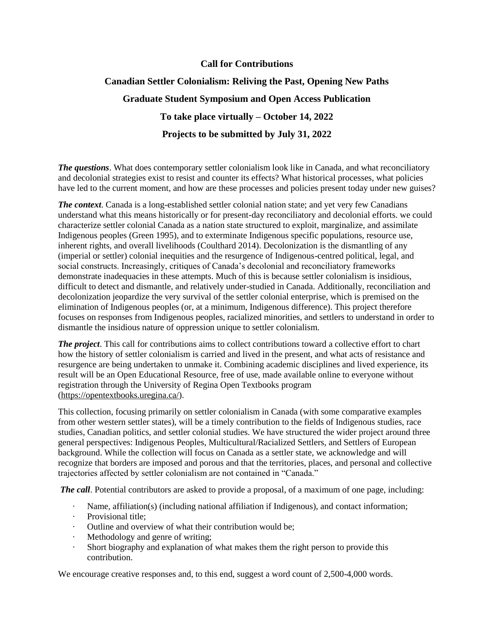## **Call for Contributions**

# **Canadian Settler Colonialism: Reliving the Past, Opening New Paths Graduate Student Symposium and Open Access Publication To take place virtually – October 14, 2022 Projects to be submitted by July 31, 2022**

*The questions*. What does contemporary settler colonialism look like in Canada, and what reconciliatory and decolonial strategies exist to resist and counter its effects? What historical processes, what policies have led to the current moment, and how are these processes and policies present today under new guises?

*The context*. Canada is a long-established settler colonial nation state; and yet very few Canadians understand what this means historically or for present-day reconciliatory and decolonial efforts. we could characterize settler colonial Canada as a nation state structured to exploit, marginalize, and assimilate Indigenous peoples (Green 1995), and to exterminate Indigenous specific populations, resource use, inherent rights, and overall livelihoods (Coulthard 2014). Decolonization is the dismantling of any (imperial or settler) colonial inequities and the resurgence of Indigenous-centred political, legal, and social constructs. Increasingly, critiques of Canada's decolonial and reconciliatory frameworks demonstrate inadequacies in these attempts. Much of this is because settler colonialism is insidious, difficult to detect and dismantle, and relatively under-studied in Canada. Additionally, reconciliation and decolonization jeopardize the very survival of the settler colonial enterprise, which is premised on the elimination of Indigenous peoples (or, at a minimum, Indigenous difference). This project therefore focuses on responses from Indigenous peoples, racialized minorities, and settlers to understand in order to dismantle the insidious nature of oppression unique to settler colonialism.

*The project*. This call for contributions aims to collect contributions toward a collective effort to chart how the history of settler colonialism is carried and lived in the present, and what acts of resistance and resurgence are being undertaken to unmake it. Combining academic disciplines and lived experience, its result will be an Open Educational Resource, free of use, made available online to everyone without registration through the University of Regina Open Textbooks program [\(https://opentextbooks.uregina.ca/\)](https://opentextbooks.uregina.ca/).

This collection, focusing primarily on settler colonialism in Canada (with some comparative examples from other western settler states), will be a timely contribution to the fields of Indigenous studies, race studies, Canadian politics, and settler colonial studies. We have structured the wider project around three general perspectives: Indigenous Peoples, Multicultural/Racialized Settlers, and Settlers of European background. While the collection will focus on Canada as a settler state, we acknowledge and will recognize that borders are imposed and porous and that the territories, places, and personal and collective trajectories affected by settler colonialism are not contained in "Canada."

*The call*. Potential contributors are asked to provide a proposal, of a maximum of one page, including:

- Name, affiliation(s) (including national affiliation if Indigenous), and contact information;
- · Provisional title;
- Outline and overview of what their contribution would be;
- Methodology and genre of writing;
- · Short biography and explanation of what makes them the right person to provide this contribution.

We encourage creative responses and, to this end, suggest a word count of 2,500-4,000 words.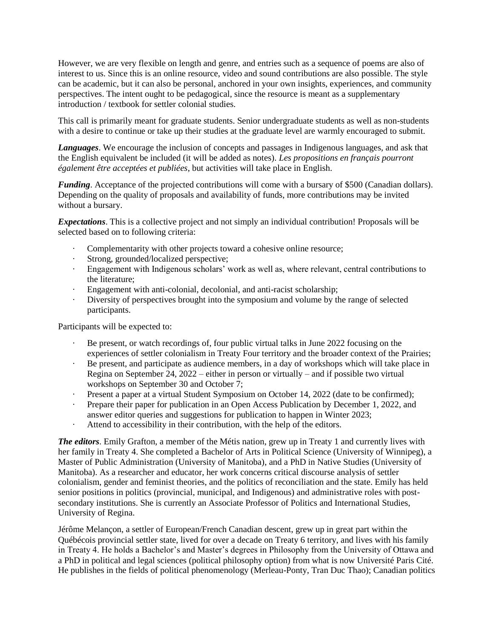However, we are very flexible on length and genre, and entries such as a sequence of poems are also of interest to us. Since this is an online resource, video and sound contributions are also possible. The style can be academic, but it can also be personal, anchored in your own insights, experiences, and community perspectives. The intent ought to be pedagogical, since the resource is meant as a supplementary introduction / textbook for settler colonial studies.

This call is primarily meant for graduate students. Senior undergraduate students as well as non-students with a desire to continue or take up their studies at the graduate level are warmly encouraged to submit.

*Languages*. We encourage the inclusion of concepts and passages in Indigenous languages, and ask that the English equivalent be included (it will be added as notes). *Les propositions en français pourront également être acceptées et publiées*, but activities will take place in English.

*Funding*. Acceptance of the projected contributions will come with a bursary of \$500 (Canadian dollars). Depending on the quality of proposals and availability of funds, more contributions may be invited without a bursary.

*Expectations*. This is a collective project and not simply an individual contribution! Proposals will be selected based on to following criteria:

- · Complementarity with other projects toward a cohesive online resource;
- Strong, grounded/localized perspective;
- · Engagement with Indigenous scholars' work as well as, where relevant, central contributions to the literature;
- Engagement with anti-colonial, decolonial, and anti-racist scholarship;
- Diversity of perspectives brought into the symposium and volume by the range of selected participants.

Participants will be expected to:

- Be present, or watch recordings of, four public virtual talks in June 2022 focusing on the experiences of settler colonialism in Treaty Four territory and the broader context of the Prairies;
- · Be present, and participate as audience members, in a day of workshops which will take place in Regina on September 24, 2022 – either in person or virtually – and if possible two virtual workshops on September 30 and October 7;
- Present a paper at a virtual Student Symposium on October 14, 2022 (date to be confirmed);
- Prepare their paper for publication in an Open Access Publication by December 1, 2022, and answer editor queries and suggestions for publication to happen in Winter 2023;
- Attend to accessibility in their contribution, with the help of the editors.

*The editors*. Emily Grafton, a member of the Métis nation, grew up in Treaty 1 and currently lives with her family in Treaty 4. She completed a Bachelor of Arts in Political Science (University of Winnipeg), a Master of Public Administration (University of Manitoba), and a PhD in Native Studies (University of Manitoba). As a researcher and educator, her work concerns critical discourse analysis of settler colonialism, gender and feminist theories, and the politics of reconciliation and the state. Emily has held senior positions in politics (provincial, municipal, and Indigenous) and administrative roles with postsecondary institutions. She is currently an Associate Professor of Politics and International Studies, University of Regina.

Jérôme Melançon, a settler of European/French Canadian descent, grew up in great part within the Québécois provincial settler state, lived for over a decade on Treaty 6 territory, and lives with his family in Treaty 4. He holds a Bachelor's and Master's degrees in Philosophy from the University of Ottawa and a PhD in political and legal sciences (political philosophy option) from what is now Université Paris Cité. He publishes in the fields of political phenomenology (Merleau-Ponty, Tran Duc Thao); Canadian politics